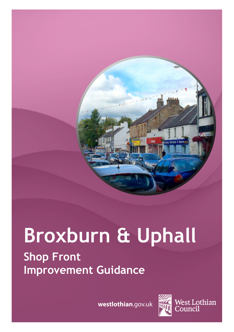

# **Broxburn & Uphall Shop Front Improvement Guidance**

**westlothian**.gov.uk



West Lothian<br>Council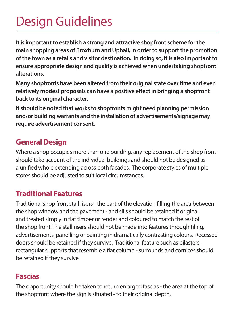## Design Guidelines

**It is important to establish a strong and attractive shopfront scheme for the main shopping areas of Broxburn and Uphall, in order to support the promotion of the town as a retails and visitor destination. In doing so, it is also important to ensure appropriate design and quality is achieved when undertaking shopfront alterations.** 

**Many shopfronts have been altered from their original state over time and even relatively modest proposals can have a positive effect in bringing a shopfront back to its original character.** 

**It should be noted that works to shopfronts might need planning permission and/or building warrants and the installation of advertisements/signage may require advertisement consent.**

#### **General Design**

Where a shop occupies more than one building, any replacement of the shop front should take account of the individual buildings and should not be designed as a unified whole extending across both facades. The corporate styles of multiple stores should be adjusted to suit local circumstances.

#### **Traditional Features**

Traditional shop front stall risers - the part of the elevation filling the area between the shop window and the pavement - and sills should be retained if original and treated simply in flat timber or render and coloured to match the rest of the shop front. The stall risers should not be made into features through tiling, advertisements, panelling or painting in dramatically contrasting colours. Recessed doors should be retained if they survive. Traditional feature such as pilasters rectangular supports that resemble a flat column - surrounds and cornices should be retained if they survive.

#### **Fascias**

The opportunity should be taken to return enlarged fascias - the area at the top of the shopfront where the sign is situated - to their original depth.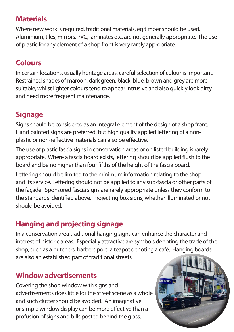## **Materials**

Where new work is required, traditional materials, eg timber should be used. Aluminium, tiles, mirrors, PVC, laminates etc. are not generally appropriate. The use of plastic for any element of a shop front is very rarely appropriate.

## **Colours**

In certain locations, usually heritage areas, careful selection of colour is important. Restrained shades of maroon, dark green, black, blue, brown and grey are more suitable, whilst lighter colours tend to appear intrusive and also quickly look dirty and need more frequent maintenance.

## **Signage**

Signs should be considered as an integral element of the design of a shop front. Hand painted signs are preferred, but high quality applied lettering of a nonplastic or non-reflective materials can also be effective.

The use of plastic fascia signs in conservation areas or on listed building is rarely appropriate. Where a fascia board exists, lettering should be applied flush to the board and be no higher than four fifths of the height of the fascia board.

Lettering should be limited to the minimum information relating to the shop and its service. Lettering should not be applied to any sub-fascia or other parts of the facade. Sponsored fascia signs are rarely appropriate unless they conform to the standards identified above. Projecting box signs, whether illuminated or not should be avoided.

## **Hanging and projecting signage**

In a conservation area traditional hanging signs can enhance the character and interest of historic areas. Especially attractive are symbols denoting the trade of the shop, such as a butchers, barbers pole, a teapot denoting a café. Hanging boards are also an established part of traditional streets.

## **Window advertisements**

Covering the shop window with signs and advertisements does little for the street scene as a whole and such clutter should be avoided. An imaginative or simple window display can be more effective than a profusion of signs and bills posted behind the glass.